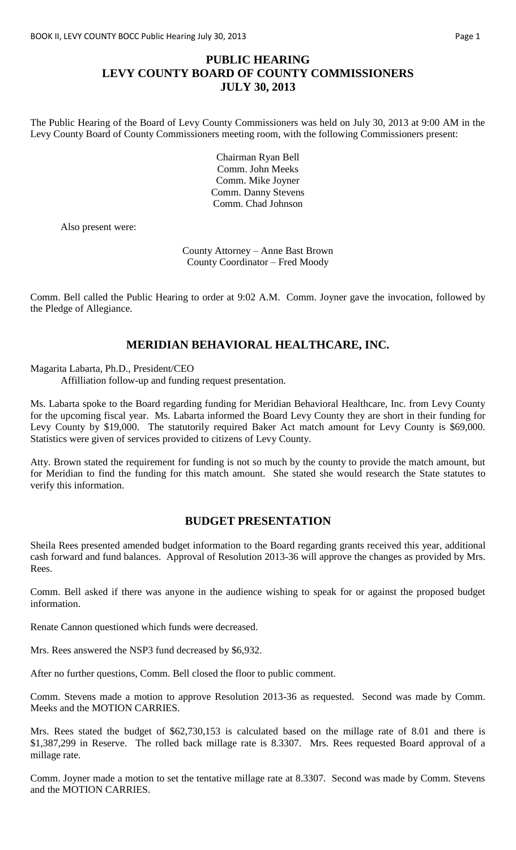## **PUBLIC HEARING LEVY COUNTY BOARD OF COUNTY COMMISSIONERS JULY 30, 2013**

The Public Hearing of the Board of Levy County Commissioners was held on July 30, 2013 at 9:00 AM in the Levy County Board of County Commissioners meeting room, with the following Commissioners present:

> Chairman Ryan Bell Comm. John Meeks Comm. Mike Joyner Comm. Danny Stevens Comm. Chad Johnson

Also present were:

County Attorney – Anne Bast Brown County Coordinator – Fred Moody

Comm. Bell called the Public Hearing to order at 9:02 A.M. Comm. Joyner gave the invocation, followed by the Pledge of Allegiance.

## **MERIDIAN BEHAVIORAL HEALTHCARE, INC.**

Magarita Labarta, Ph.D., President/CEO

Affilliation follow-up and funding request presentation.

Ms. Labarta spoke to the Board regarding funding for Meridian Behavioral Healthcare, Inc. from Levy County for the upcoming fiscal year. Ms. Labarta informed the Board Levy County they are short in their funding for Levy County by \$19,000. The statutorily required Baker Act match amount for Levy County is \$69,000. Statistics were given of services provided to citizens of Levy County.

Atty. Brown stated the requirement for funding is not so much by the county to provide the match amount, but for Meridian to find the funding for this match amount. She stated she would research the State statutes to verify this information.

## **BUDGET PRESENTATION**

Sheila Rees presented amended budget information to the Board regarding grants received this year, additional cash forward and fund balances. Approval of Resolution 2013-36 will approve the changes as provided by Mrs. Rees.

Comm. Bell asked if there was anyone in the audience wishing to speak for or against the proposed budget information.

Renate Cannon questioned which funds were decreased.

Mrs. Rees answered the NSP3 fund decreased by \$6,932.

After no further questions, Comm. Bell closed the floor to public comment.

Comm. Stevens made a motion to approve Resolution 2013-36 as requested. Second was made by Comm. Meeks and the MOTION CARRIES.

Mrs. Rees stated the budget of \$62,730,153 is calculated based on the millage rate of 8.01 and there is \$1,387,299 in Reserve. The rolled back millage rate is 8.3307. Mrs. Rees requested Board approval of a millage rate.

Comm. Joyner made a motion to set the tentative millage rate at 8.3307. Second was made by Comm. Stevens and the MOTION CARRIES.